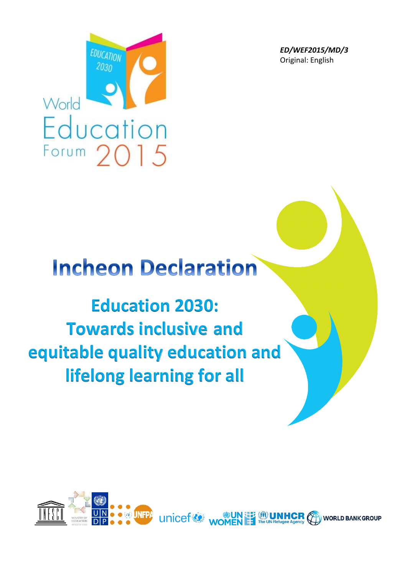*ED/WEF2015/MD/3* Original: English



## **Incheon Declaration**

**Education 2030: Towards inclusive and equitable quality education and lifelong learning for all**

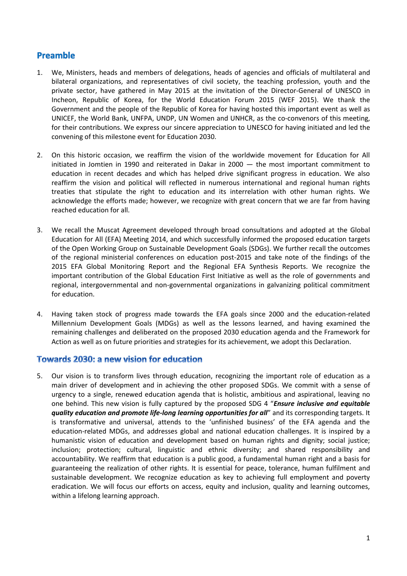## **Preamble**

- 1. We, Ministers, heads and members of delegations, heads of agencies and officials of multilateral and bilateral organizations, and representatives of civil society, the teaching profession, youth and the private sector, have gathered in May 2015 at the invitation of the Director-General of UNESCO in Incheon, Republic of Korea, for the World Education Forum 2015 (WEF 2015). We thank the Government and the people of the Republic of Korea for having hosted this important event as well as UNICEF, the World Bank, UNFPA, UNDP, UN Women and UNHCR, as the co-convenors of this meeting, for their contributions. We express our sincere appreciation to UNESCO for having initiated and led the convening of this milestone event for Education 2030.
- 2. On this historic occasion, we reaffirm the vision of the worldwide movement for Education for All initiated in Jomtien in 1990 and reiterated in Dakar in 2000 — the most important commitment to education in recent decades and which has helped drive significant progress in education. We also reaffirm the vision and political will reflected in numerous international and regional human rights treaties that stipulate the right to education and its interrelation with other human rights. We acknowledge the efforts made; however, we recognize with great concern that we are far from having reached education for all.
- 3. We recall the Muscat Agreement developed through broad consultations and adopted at the Global Education for All (EFA) Meeting 2014, and which successfully informed the proposed education targets of the Open Working Group on Sustainable Development Goals (SDGs). We further recall the outcomes of the regional ministerial conferences on education post-2015 and take note of the findings of the 2015 EFA Global Monitoring Report and the Regional EFA Synthesis Reports. We recognize the important contribution of the Global Education First Initiative as well as the role of governments and regional, intergovernmental and non-governmental organizations in galvanizing political commitment for education.
- 4. Having taken stock of progress made towards the EFA goals since 2000 and the education-related Millennium Development Goals (MDGs) as well as the lessons learned, and having examined the remaining challenges and deliberated on the proposed 2030 education agenda and the Framework for Action as well as on future priorities and strategies for its achievement, we adopt this Declaration.

## Towards 2030: a new vision for education

5. Our vision is to transform lives through education, recognizing the important role of education as a main driver of development and in achieving the other proposed SDGs. We commit with a sense of urgency to a single, renewed education agenda that is holistic, ambitious and aspirational, leaving no one behind. This new vision is fully captured by the proposed SDG 4 "*Ensure inclusive and equitable quality education and promote life-long learning opportunities for all*" and its corresponding targets. It is transformative and universal, attends to the 'unfinished business' of the EFA agenda and the education-related MDGs, and addresses global and national education challenges. It is inspired by a humanistic vision of education and development based on human rights and dignity; social justice; inclusion; protection; cultural, linguistic and ethnic diversity; and shared responsibility and accountability. We reaffirm that education is a public good, a fundamental human right and a basis for guaranteeing the realization of other rights. It is essential for peace, tolerance, human fulfilment and sustainable development. We recognize education as key to achieving full employment and poverty eradication. We will focus our efforts on access, equity and inclusion, quality and learning outcomes, within a lifelong learning approach.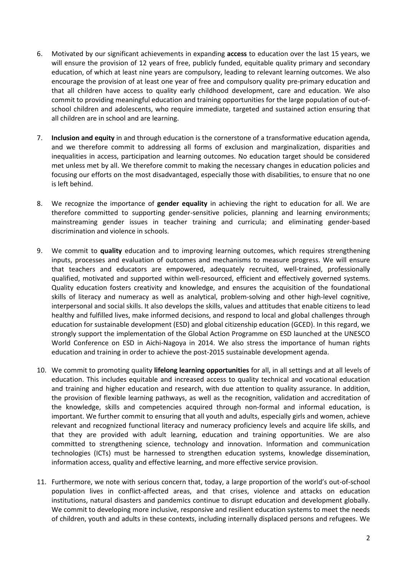- 6. Motivated by our significant achievements in expanding **access** to education over the last 15 years, we will ensure the provision of 12 years of free, publicly funded, equitable quality primary and secondary education, of which at least nine years are compulsory, leading to relevant learning outcomes. We also encourage the provision of at least one year of free and compulsory quality pre-primary education and that all children have access to quality early childhood development, care and education. We also commit to providing meaningful education and training opportunities for the large population of out-ofschool children and adolescents, who require immediate, targeted and sustained action ensuring that all children are in school and are learning.
- 7. **Inclusion and equity** in and through education is the cornerstone of a transformative education agenda, and we therefore commit to addressing all forms of exclusion and marginalization, disparities and inequalities in access, participation and learning outcomes. No education target should be considered met unless met by all. We therefore commit to making the necessary changes in education policies and focusing our efforts on the most disadvantaged, especially those with disabilities, to ensure that no one is left behind.
- 8. We recognize the importance of **gender equality** in achieving the right to education for all. We are therefore committed to supporting gender-sensitive policies, planning and learning environments; mainstreaming gender issues in teacher training and curricula; and eliminating gender-based discrimination and violence in schools.
- 9. We commit to **quality** education and to improving learning outcomes, which requires strengthening inputs, processes and evaluation of outcomes and mechanisms to measure progress. We will ensure that teachers and educators are empowered, adequately recruited, well-trained, professionally qualified, motivated and supported within well-resourced, efficient and effectively governed systems. Quality education fosters creativity and knowledge, and ensures the acquisition of the foundational skills of literacy and numeracy as well as analytical, problem-solving and other high-level cognitive, interpersonal and social skills. It also develops the skills, values and attitudes that enable citizens to lead healthy and fulfilled lives, make informed decisions, and respond to local and global challenges through education for sustainable development (ESD) and global citizenship education (GCED). In this regard, we strongly support the implementation of the Global Action Programme on ESD launched at the UNESCO World Conference on ESD in Aichi-Nagoya in 2014. We also stress the importance of human rights education and training in order to achieve the post-2015 sustainable development agenda.
- 10. We commit to promoting quality **lifelong learning opportunities** for all, in all settings and at all levels of education. This includes equitable and increased access to quality technical and vocational education and training and higher education and research, with due attention to quality assurance. In addition, the provision of flexible learning pathways, as well as the recognition, validation and accreditation of the knowledge, skills and competencies acquired through non-formal and informal education, is important. We further commit to ensuring that all youth and adults, especially girls and women, achieve relevant and recognized functional literacy and numeracy proficiency levels and acquire life skills, and that they are provided with adult learning, education and training opportunities. We are also committed to strengthening science, technology and innovation. Information and communication technologies (ICTs) must be harnessed to strengthen education systems, knowledge dissemination, information access, quality and effective learning, and more effective service provision.
- 11. Furthermore, we note with serious concern that, today, a large proportion of the world's out-of-school population lives in conflict-affected areas, and that crises, violence and attacks on education institutions, natural disasters and pandemics continue to disrupt education and development globally. We commit to developing more inclusive, responsive and resilient education systems to meet the needs of children, youth and adults in these contexts, including internally displaced persons and refugees. We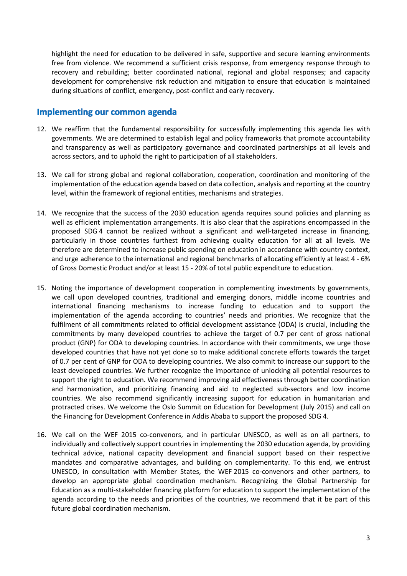highlight the need for education to be delivered in safe, supportive and secure learning environments free from violence. We recommend a sufficient crisis response, from emergency response through to recovery and rebuilding; better coordinated national, regional and global responses; and capacity development for comprehensive risk reduction and mitigation to ensure that education is maintained during situations of conflict, emergency, post-conflict and early recovery.

## **Implementing our common agenda**

- 12. We reaffirm that the fundamental responsibility for successfully implementing this agenda lies with governments. We are determined to establish legal and policy frameworks that promote accountability and transparency as well as participatory governance and coordinated partnerships at all levels and across sectors, and to uphold the right to participation of all stakeholders.
- 13. We call for strong global and regional collaboration, cooperation, coordination and monitoring of the implementation of the education agenda based on data collection, analysis and reporting at the country level, within the framework of regional entities, mechanisms and strategies.
- 14. We recognize that the success of the 2030 education agenda requires sound policies and planning as well as efficient implementation arrangements. It is also clear that the aspirations encompassed in the proposed SDG 4 cannot be realized without a significant and well-targeted increase in financing, particularly in those countries furthest from achieving quality education for all at all levels. We therefore are determined to increase public spending on education in accordance with country context, and urge adherence to the international and regional benchmarks of allocating efficiently at least 4 - 6% of Gross Domestic Product and/or at least 15 - 20% of total public expenditure to education.
- 15. Noting the importance of development cooperation in complementing investments by governments, we call upon developed countries, traditional and emerging donors, middle income countries and international financing mechanisms to increase funding to education and to support the implementation of the agenda according to countries' needs and priorities. We recognize that the fulfilment of all commitments related to official development assistance (ODA) is crucial, including the commitments by many developed countries to achieve the target of 0.7 per cent of gross national product (GNP) for ODA to developing countries. In accordance with their commitments, we urge those developed countries that have not yet done so to make additional concrete efforts towards the target of 0.7 per cent of GNP for ODA to developing countries. We also commit to increase our support to the least developed countries. We further recognize the importance of unlocking all potential resources to support the right to education. We recommend improving aid effectiveness through better coordination and harmonization, and prioritizing financing and aid to neglected sub-sectors and low income countries. We also recommend significantly increasing support for education in humanitarian and protracted crises. We welcome the Oslo Summit on Education for Development (July 2015) and call on the Financing for Development Conference in Addis Ababa to support the proposed SDG 4.
- 16. We call on the WEF 2015 co-convenors, and in particular UNESCO, as well as on all partners, to individually and collectively support countries in implementing the 2030 education agenda, by providing technical advice, national capacity development and financial support based on their respective mandates and comparative advantages, and building on complementarity. To this end, we entrust UNESCO, in consultation with Member States, the WEF 2015 co-convenors and other partners, to develop an appropriate global coordination mechanism. Recognizing the Global Partnership for Education as a multi-stakeholder financing platform for education to support the implementation of the agenda according to the needs and priorities of the countries, we recommend that it be part of this future global coordination mechanism.